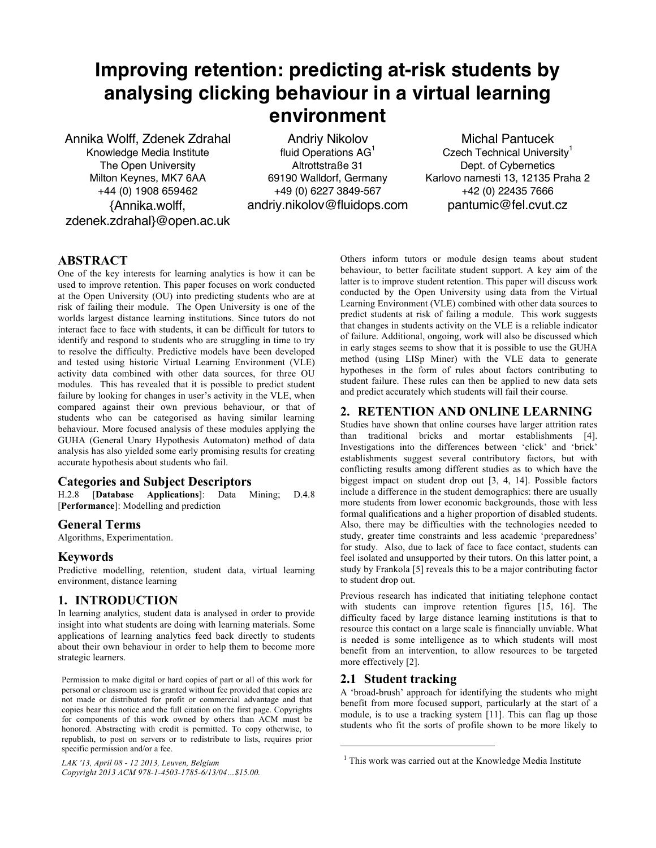# **Improving retention: predicting at-risk students by analysing clicking behaviour in a virtual learning environment**

Annika Wolff, Zdenek Zdrahal Knowledge Media Institute The Open University Milton Keynes, MK7 6AA +44 (0) 1908 659462 {Annika.wolff, zdenek.zdrahal}@open.ac.uk

Andriy Nikolov fluid Operations  $AG<sup>1</sup>$ Altrottstraße 31 69190 Walldorf, Germany +49 (0) 6227 3849-567 andriy.nikolov@fluidops.com

Michal Pantucek Czech Technical University<sup>1</sup> Dept. of Cybernetics Karlovo namesti 13, 12135 Praha 2 +42 (0) 22435 7666 pantumic@fel.cvut.cz

## **ABSTRACT**

One of the key interests for learning analytics is how it can be used to improve retention. This paper focuses on work conducted at the Open University (OU) into predicting students who are at risk of failing their module. The Open University is one of the worlds largest distance learning institutions. Since tutors do not interact face to face with students, it can be difficult for tutors to identify and respond to students who are struggling in time to try to resolve the difficulty. Predictive models have been developed and tested using historic Virtual Learning Environment (VLE) activity data combined with other data sources, for three OU modules. This has revealed that it is possible to predict student failure by looking for changes in user's activity in the VLE, when compared against their own previous behaviour, or that of students who can be categorised as having similar learning behaviour. More focused analysis of these modules applying the GUHA (General Unary Hypothesis Automaton) method of data analysis has also yielded some early promising results for creating accurate hypothesis about students who fail.

#### **Categories and Subject Descriptors**

H.2.8 [**Database Applications**]: Data Mining; D.4.8 [**Performance**]: Modelling and prediction

## **General Terms**

Algorithms, Experimentation.

## **Keywords**

Predictive modelling, retention, student data, virtual learning environment, distance learning

## **1. INTRODUCTION**

In learning analytics, student data is analysed in order to provide insight into what students are doing with learning materials. Some applications of learning analytics feed back directly to students about their own behaviour in order to help them to become more strategic learners.

Permission to make digital or hard copies of part or all of this work for personal or classroom use is granted without fee provided that copies are not made or distributed for profit or commercial advantage and that copies bear this notice and the full citation on the first page. Copyrights for components of this work owned by others than ACM must be honored. Abstracting with credit is permitted. To copy otherwise, to republish, to post on servers or to redistribute to lists, requires prior specific permission and/or a fee.

*LAK '13, April 08 - 12 2013, Leuven, Belgium Copyright 2013 ACM 978-1-4503-1785-6/13/04…\$15.00.*

Others inform tutors or module design teams about student behaviour, to better facilitate student support. A key aim of the latter is to improve student retention. This paper will discuss work conducted by the Open University using data from the Virtual Learning Environment (VLE) combined with other data sources to predict students at risk of failing a module. This work suggests that changes in students activity on the VLE is a reliable indicator of failure. Additional, ongoing, work will also be discussed which in early stages seems to show that it is possible to use the GUHA method (using LISp Miner) with the VLE data to generate hypotheses in the form of rules about factors contributing to student failure. These rules can then be applied to new data sets and predict accurately which students will fail their course.

#### **2. RETENTION AND ONLINE LEARNING**

Studies have shown that online courses have larger attrition rates than traditional bricks and mortar establishments [4]. Investigations into the differences between 'click' and 'brick' establishments suggest several contributory factors, but with conflicting results among different studies as to which have the biggest impact on student drop out [3, 4, 14]. Possible factors include a difference in the student demographics: there are usually more students from lower economic backgrounds, those with less formal qualifications and a higher proportion of disabled students. Also, there may be difficulties with the technologies needed to study, greater time constraints and less academic 'preparedness' for study. Also, due to lack of face to face contact, students can feel isolated and unsupported by their tutors. On this latter point, a study by Frankola [5] reveals this to be a major contributing factor to student drop out.

Previous research has indicated that initiating telephone contact with students can improve retention figures [15, 16]. The difficulty faced by large distance learning institutions is that to resource this contact on a large scale is financially unviable. What is needed is some intelligence as to which students will most benefit from an intervention, to allow resources to be targeted more effectively [2].

#### **2.1 Student tracking**

 $\overline{a}$ 

A 'broad-brush' approach for identifying the students who might benefit from more focused support, particularly at the start of a module, is to use a tracking system [11]. This can flag up those students who fit the sorts of profile shown to be more likely to

 $1$  This work was carried out at the Knowledge Media Institute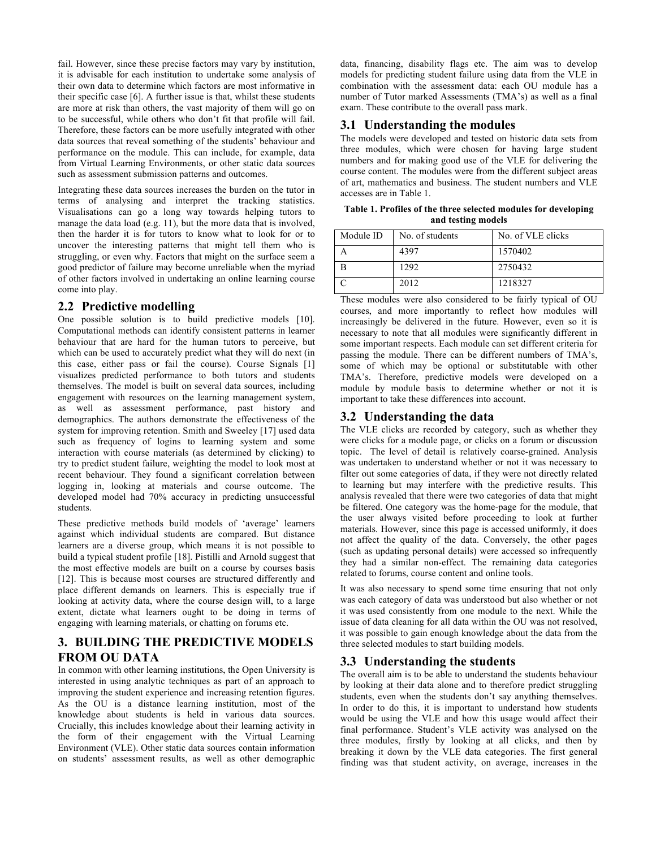fail. However, since these precise factors may vary by institution, it is advisable for each institution to undertake some analysis of their own data to determine which factors are most informative in their specific case [6]. A further issue is that, whilst these students are more at risk than others, the vast majority of them will go on to be successful, while others who don't fit that profile will fail. Therefore, these factors can be more usefully integrated with other data sources that reveal something of the students' behaviour and performance on the module. This can include, for example, data from Virtual Learning Environments, or other static data sources such as assessment submission patterns and outcomes.

Integrating these data sources increases the burden on the tutor in terms of analysing and interpret the tracking statistics. Visualisations can go a long way towards helping tutors to manage the data load (e.g. 11), but the more data that is involved, then the harder it is for tutors to know what to look for or to uncover the interesting patterns that might tell them who is struggling, or even why. Factors that might on the surface seem a good predictor of failure may become unreliable when the myriad of other factors involved in undertaking an online learning course come into play.

## **2.2 Predictive modelling**

One possible solution is to build predictive models [10]. Computational methods can identify consistent patterns in learner behaviour that are hard for the human tutors to perceive, but which can be used to accurately predict what they will do next (in this case, either pass or fail the course). Course Signals [1] visualizes predicted performance to both tutors and students themselves. The model is built on several data sources, including engagement with resources on the learning management system, as well as assessment performance, past history and demographics. The authors demonstrate the effectiveness of the system for improving retention. Smith and Sweeley [17] used data such as frequency of logins to learning system and some interaction with course materials (as determined by clicking) to try to predict student failure, weighting the model to look most at recent behaviour. They found a significant correlation between logging in, looking at materials and course outcome. The developed model had 70% accuracy in predicting unsuccessful students.

These predictive methods build models of 'average' learners against which individual students are compared. But distance learners are a diverse group, which means it is not possible to build a typical student profile [18]. Pistilli and Arnold suggest that the most effective models are built on a course by courses basis [12]. This is because most courses are structured differently and place different demands on learners. This is especially true if looking at activity data, where the course design will, to a large extent, dictate what learners ought to be doing in terms of engaging with learning materials, or chatting on forums etc.

# **3. BUILDING THE PREDICTIVE MODELS FROM OU DATA**

In common with other learning institutions, the Open University is interested in using analytic techniques as part of an approach to improving the student experience and increasing retention figures. As the OU is a distance learning institution, most of the knowledge about students is held in various data sources. Crucially, this includes knowledge about their learning activity in the form of their engagement with the Virtual Learning Environment (VLE). Other static data sources contain information on students' assessment results, as well as other demographic data, financing, disability flags etc. The aim was to develop models for predicting student failure using data from the VLE in combination with the assessment data: each OU module has a number of Tutor marked Assessments (TMA's) as well as a final exam. These contribute to the overall pass mark.

## **3.1 Understanding the modules**

The models were developed and tested on historic data sets from three modules, which were chosen for having large student numbers and for making good use of the VLE for delivering the course content. The modules were from the different subject areas of art, mathematics and business. The student numbers and VLE accesses are in Table 1.

**Table 1. Profiles of the three selected modules for developing and testing models**

| Module ID | No. of students | No. of VLE clicks |
|-----------|-----------------|-------------------|
|           | 4397            | 1570402           |
|           | 1292            | 2750432           |
|           | 2012            | 1218327           |

These modules were also considered to be fairly typical of OU courses, and more importantly to reflect how modules will increasingly be delivered in the future. However, even so it is necessary to note that all modules were significantly different in some important respects. Each module can set different criteria for passing the module. There can be different numbers of TMA's, some of which may be optional or substitutable with other TMA's. Therefore, predictive models were developed on a module by module basis to determine whether or not it is important to take these differences into account.

## **3.2 Understanding the data**

The VLE clicks are recorded by category, such as whether they were clicks for a module page, or clicks on a forum or discussion topic. The level of detail is relatively coarse-grained. Analysis was undertaken to understand whether or not it was necessary to filter out some categories of data, if they were not directly related to learning but may interfere with the predictive results. This analysis revealed that there were two categories of data that might be filtered. One category was the home-page for the module, that the user always visited before proceeding to look at further materials. However, since this page is accessed uniformly, it does not affect the quality of the data. Conversely, the other pages (such as updating personal details) were accessed so infrequently they had a similar non-effect. The remaining data categories related to forums, course content and online tools.

It was also necessary to spend some time ensuring that not only was each category of data was understood but also whether or not it was used consistently from one module to the next. While the issue of data cleaning for all data within the OU was not resolved, it was possible to gain enough knowledge about the data from the three selected modules to start building models.

## **3.3 Understanding the students**

The overall aim is to be able to understand the students behaviour by looking at their data alone and to therefore predict struggling students, even when the students don't say anything themselves. In order to do this, it is important to understand how students would be using the VLE and how this usage would affect their final performance. Student's VLE activity was analysed on the three modules, firstly by looking at all clicks, and then by breaking it down by the VLE data categories. The first general finding was that student activity, on average, increases in the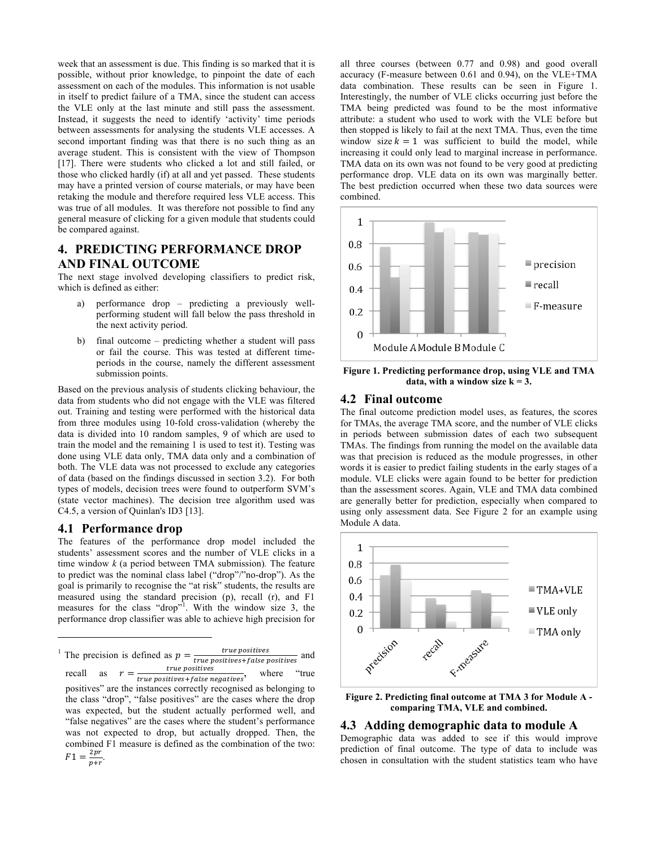week that an assessment is due. This finding is so marked that it is possible, without prior knowledge, to pinpoint the date of each assessment on each of the modules. This information is not usable in itself to predict failure of a TMA, since the student can access the VLE only at the last minute and still pass the assessment. Instead, it suggests the need to identify 'activity' time periods between assessments for analysing the students VLE accesses. A second important finding was that there is no such thing as an average student. This is consistent with the view of Thompson [17]. There were students who clicked a lot and still failed, or those who clicked hardly (if) at all and yet passed. These students may have a printed version of course materials, or may have been retaking the module and therefore required less VLE access. This was true of all modules. It was therefore not possible to find any general measure of clicking for a given module that students could be compared against.

## **4. PREDICTING PERFORMANCE DROP AND FINAL OUTCOME**

The next stage involved developing classifiers to predict risk, which is defined as either:

- a) performance drop predicting a previously wellperforming student will fall below the pass threshold in the next activity period.
- b) final outcome predicting whether a student will pass or fail the course. This was tested at different timeperiods in the course, namely the different assessment submission points.

Based on the previous analysis of students clicking behaviour, the data from students who did not engage with the VLE was filtered out. Training and testing were performed with the historical data from three modules using 10-fold cross-validation (whereby the data is divided into 10 random samples, 9 of which are used to train the model and the remaining 1 is used to test it). Testing was done using VLE data only, TMA data only and a combination of both. The VLE data was not processed to exclude any categories of data (based on the findings discussed in section 3.2). For both types of models, decision trees were found to outperform SVM's (state vector machines). The decision tree algorithm used was C4.5, a version of Quinlan's ID3 [13].

#### **4.1 Performance drop**

j

The features of the performance drop model included the students' assessment scores and the number of VLE clicks in a time window *k* (a period between TMA submission)*.* The feature to predict was the nominal class label ("drop"/"no-drop"). As the goal is primarily to recognise the "at risk" students, the results are measured using the standard precision (p), recall (r), and F1 measures for the class "drop"<sup>1</sup>. With the window size 3, the performance drop classifier was able to achieve high precision for

<sup>1</sup> The precision is defined as  $p = \frac{true \text{ positives}}{true \text{ positives} + false \text{ positives}}$  and recall as  $r = \frac{true \text{ positives}}{true \text{ positives} + false \text{ negatives}}$ , where "true positives" are the instances correctly recognised as belonging to the class "drop", "false positives" are the cases where the drop was expected, but the student actually performed well, and "false negatives" are the cases where the student's performance was not expected to drop, but actually dropped. Then, the combined F1 measure is defined as the combination of the two:  $F1 = \frac{2pr}{p+r}.$ 

all three courses (between 0.77 and 0.98) and good overall accuracy (F-measure between 0.61 and 0.94), on the VLE+TMA data combination. These results can be seen in Figure 1. Interestingly, the number of VLE clicks occurring just before the TMA being predicted was found to be the most informative attribute: a student who used to work with the VLE before but then stopped is likely to fail at the next TMA. Thus, even the time window size  $k = 1$  was sufficient to build the model, while increasing it could only lead to marginal increase in performance. TMA data on its own was not found to be very good at predicting performance drop. VLE data on its own was marginally better. The best prediction occurred when these two data sources were combined.



**Figure 1. Predicting performance drop, using VLE and TMA**  data, with a window size  $k = 3$ .

### **4.2 Final outcome**

The final outcome prediction model uses, as features, the scores for TMAs, the average TMA score, and the number of VLE clicks in periods between submission dates of each two subsequent TMAs. The findings from running the model on the available data was that precision is reduced as the module progresses, in other words it is easier to predict failing students in the early stages of a module. VLE clicks were again found to be better for prediction than the assessment scores. Again, VLE and TMA data combined are generally better for prediction, especially when compared to using only assessment data. See Figure 2 for an example using Module A data.



**Figure 2. Predicting final outcome at TMA 3 for Module A comparing TMA, VLE and combined.**

### **4.3 Adding demographic data to module A**

Demographic data was added to see if this would improve prediction of final outcome. The type of data to include was chosen in consultation with the student statistics team who have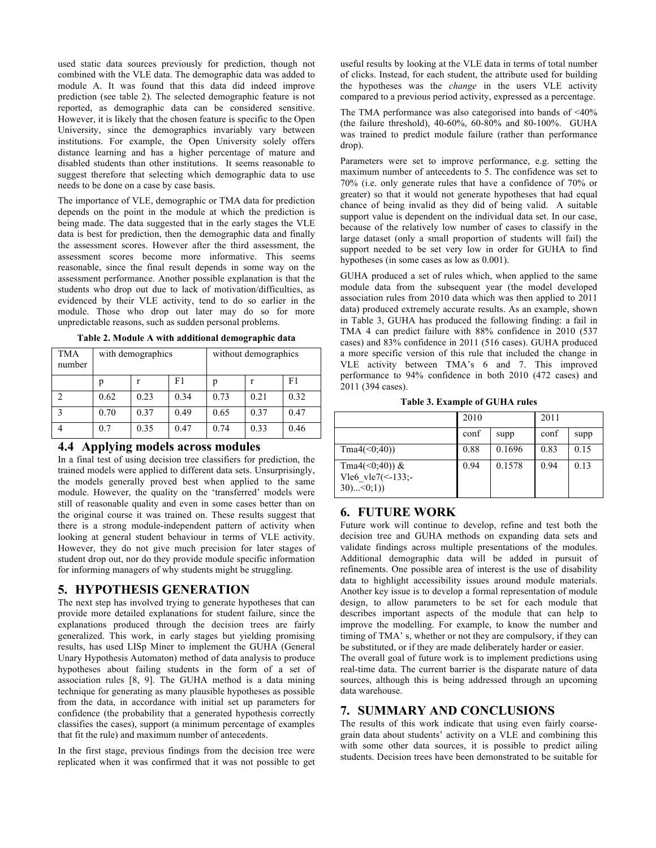used static data sources previously for prediction, though not combined with the VLE data. The demographic data was added to module A. It was found that this data did indeed improve prediction (see table 2). The selected demographic feature is not reported, as demographic data can be considered sensitive. However, it is likely that the chosen feature is specific to the Open University, since the demographics invariably vary between institutions. For example, the Open University solely offers distance learning and has a higher percentage of mature and disabled students than other institutions. It seems reasonable to suggest therefore that selecting which demographic data to use needs to be done on a case by case basis.

The importance of VLE, demographic or TMA data for prediction depends on the point in the module at which the prediction is being made. The data suggested that in the early stages the VLE data is best for prediction, then the demographic data and finally the assessment scores. However after the third assessment, the assessment scores become more informative. This seems reasonable, since the final result depends in some way on the assessment performance. Another possible explanation is that the students who drop out due to lack of motivation/difficulties, as evidenced by their VLE activity, tend to do so earlier in the module. Those who drop out later may do so for more unpredictable reasons, such as sudden personal problems.

| Table 2. Module A with additional demographic data |  |  |  |  |
|----------------------------------------------------|--|--|--|--|
|----------------------------------------------------|--|--|--|--|

| <b>TMA</b><br>number | with demographics |      |      | without demographics |      |      |
|----------------------|-------------------|------|------|----------------------|------|------|
|                      |                   |      | F1   | р                    |      | F1   |
|                      | 0.62              | 0.23 | 0.34 | 0.73                 | 0.21 | 0.32 |
| $\mathcal{E}$        | 0.70              | 0.37 | 0.49 | 0.65                 | 0.37 | 0.47 |
|                      | 0.7               | 0.35 | 0.47 | 0.74                 | 0.33 | 0.46 |

#### **4.4 Applying models across modules**

In a final test of using decision tree classifiers for prediction, the trained models were applied to different data sets. Unsurprisingly, the models generally proved best when applied to the same module. However, the quality on the 'transferred' models were still of reasonable quality and even in some cases better than on the original course it was trained on. These results suggest that there is a strong module-independent pattern of activity when looking at general student behaviour in terms of VLE activity. However, they do not give much precision for later stages of student drop out, nor do they provide module specific information for informing managers of why students might be struggling.

## **5. HYPOTHESIS GENERATION**

The next step has involved trying to generate hypotheses that can provide more detailed explanations for student failure, since the explanations produced through the decision trees are fairly generalized. This work, in early stages but yielding promising results, has used LISp Miner to implement the GUHA (General Unary Hypothesis Automaton) method of data analysis to produce hypotheses about failing students in the form of a set of association rules [8, 9]. The GUHA method is a data mining technique for generating as many plausible hypotheses as possible from the data, in accordance with initial set up parameters for confidence (the probability that a generated hypothesis correctly classifies the cases), support (a minimum percentage of examples that fit the rule) and maximum number of antecedents.

In the first stage, previous findings from the decision tree were replicated when it was confirmed that it was not possible to get useful results by looking at the VLE data in terms of total number of clicks. Instead, for each student, the attribute used for building the hypotheses was the *change* in the users VLE activity compared to a previous period activity, expressed as a percentage.

The TMA performance was also categorised into bands of <40% (the failure threshold), 40-60%, 60-80% and 80-100%. GUHA was trained to predict module failure (rather than performance drop).

Parameters were set to improve performance, e.g. setting the maximum number of antecedents to 5. The confidence was set to 70% (i.e. only generate rules that have a confidence of 70% or greater) so that it would not generate hypotheses that had equal chance of being invalid as they did of being valid. A suitable support value is dependent on the individual data set. In our case, because of the relatively low number of cases to classify in the large dataset (only a small proportion of students will fail) the support needed to be set very low in order for GUHA to find hypotheses (in some cases as low as 0.001).

GUHA produced a set of rules which, when applied to the same module data from the subsequent year (the model developed association rules from 2010 data which was then applied to 2011 data) produced extremely accurate results. As an example, shown in Table 3, GUHA has produced the following finding: a fail in TMA 4 can predict failure with 88% confidence in 2010 (537 cases) and 83% confidence in 2011 (516 cases). GUHA produced a more specific version of this rule that included the change in VLE activity between TMA's 6 and 7. This improved performance to 94% confidence in both 2010 (472 cases) and 2011 (394 cases).

**Table 3. Example of GUHA rules**

|                                                          | 2010 |        | 2011 |      |
|----------------------------------------------------------|------|--------|------|------|
|                                                          | conf | supp   | conf | supp |
| Tma4(<0;40)                                              | 0.88 | 0.1696 | 0.83 | 0.15 |
| Tma4(<0;40)) $&$<br>Vle6 vle7(<-133;-<br>$30$ $< 0$ ; 1) | 0.94 | 0.1578 | 0.94 | 0.13 |

## **6. FUTURE WORK**

Future work will continue to develop, refine and test both the decision tree and GUHA methods on expanding data sets and validate findings across multiple presentations of the modules. Additional demographic data will be added in pursuit of refinements. One possible area of interest is the use of disability data to highlight accessibility issues around module materials. Another key issue is to develop a formal representation of module design, to allow parameters to be set for each module that describes important aspects of the module that can help to improve the modelling. For example, to know the number and timing of TMA' s, whether or not they are compulsory, if they can be substituted, or if they are made deliberately harder or easier.

The overall goal of future work is to implement predictions using real-time data. The current barrier is the disparate nature of data sources, although this is being addressed through an upcoming data warehouse.

## **7. SUMMARY AND CONCLUSIONS**

The results of this work indicate that using even fairly coarsegrain data about students' activity on a VLE and combining this with some other data sources, it is possible to predict ailing students. Decision trees have been demonstrated to be suitable for